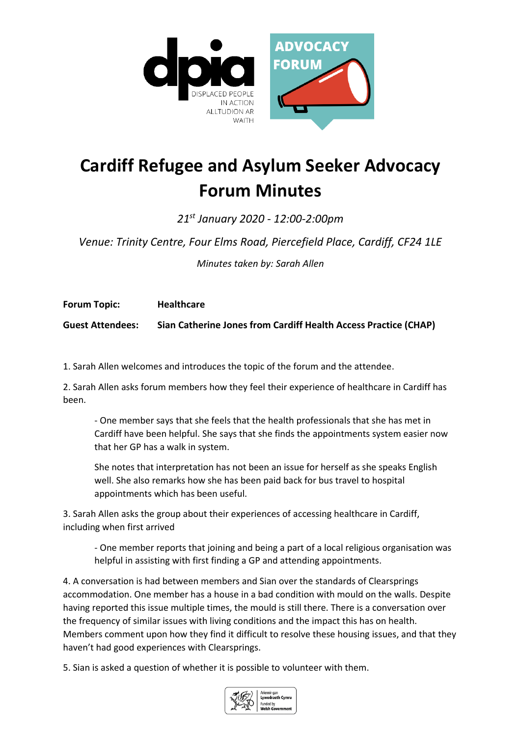

## **Cardiff Refugee and Asylum Seeker Advocacy Forum Minutes**

*21st January 2020 - 12:00-2:00pm* 

*Venue: Trinity Centre, Four Elms Road, Piercefield Place, Cardiff, CF24 1LE*

*Minutes taken by: Sarah Allen*

**Forum Topic: Healthcare**

**Guest Attendees: Sian Catherine Jones from Cardiff Health Access Practice (CHAP)**

1. Sarah Allen welcomes and introduces the topic of the forum and the attendee.

2. Sarah Allen asks forum members how they feel their experience of healthcare in Cardiff has been.

- One member says that she feels that the health professionals that she has met in Cardiff have been helpful. She says that she finds the appointments system easier now that her GP has a walk in system.

She notes that interpretation has not been an issue for herself as she speaks English well. She also remarks how she has been paid back for bus travel to hospital appointments which has been useful.

3. Sarah Allen asks the group about their experiences of accessing healthcare in Cardiff, including when first arrived

- One member reports that joining and being a part of a local religious organisation was helpful in assisting with first finding a GP and attending appointments.

4. A conversation is had between members and Sian over the standards of Clearsprings accommodation. One member has a house in a bad condition with mould on the walls. Despite having reported this issue multiple times, the mould is still there. There is a conversation over the frequency of similar issues with living conditions and the impact this has on health. Members comment upon how they find it difficult to resolve these housing issues, and that they haven't had good experiences with Clearsprings.

5. Sian is asked a question of whether it is possible to volunteer with them.

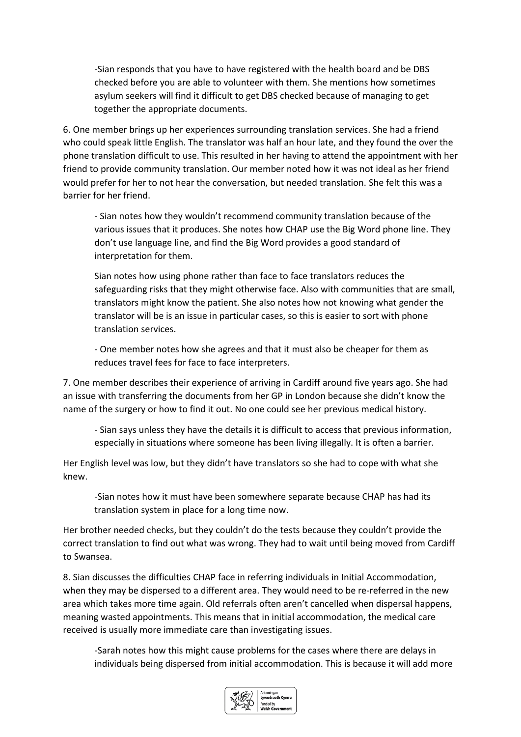-Sian responds that you have to have registered with the health board and be DBS checked before you are able to volunteer with them. She mentions how sometimes asylum seekers will find it difficult to get DBS checked because of managing to get together the appropriate documents.

6. One member brings up her experiences surrounding translation services. She had a friend who could speak little English. The translator was half an hour late, and they found the over the phone translation difficult to use. This resulted in her having to attend the appointment with her friend to provide community translation. Our member noted how it was not ideal as her friend would prefer for her to not hear the conversation, but needed translation. She felt this was a barrier for her friend.

- Sian notes how they wouldn't recommend community translation because of the various issues that it produces. She notes how CHAP use the Big Word phone line. They don't use language line, and find the Big Word provides a good standard of interpretation for them.

Sian notes how using phone rather than face to face translators reduces the safeguarding risks that they might otherwise face. Also with communities that are small, translators might know the patient. She also notes how not knowing what gender the translator will be is an issue in particular cases, so this is easier to sort with phone translation services.

- One member notes how she agrees and that it must also be cheaper for them as reduces travel fees for face to face interpreters.

7. One member describes their experience of arriving in Cardiff around five years ago. She had an issue with transferring the documents from her GP in London because she didn't know the name of the surgery or how to find it out. No one could see her previous medical history.

- Sian says unless they have the details it is difficult to access that previous information, especially in situations where someone has been living illegally. It is often a barrier.

Her English level was low, but they didn't have translators so she had to cope with what she knew.

-Sian notes how it must have been somewhere separate because CHAP has had its translation system in place for a long time now.

Her brother needed checks, but they couldn't do the tests because they couldn't provide the correct translation to find out what was wrong. They had to wait until being moved from Cardiff to Swansea.

8. Sian discusses the difficulties CHAP face in referring individuals in Initial Accommodation, when they may be dispersed to a different area. They would need to be re-referred in the new area which takes more time again. Old referrals often aren't cancelled when dispersal happens, meaning wasted appointments. This means that in initial accommodation, the medical care received is usually more immediate care than investigating issues.

-Sarah notes how this might cause problems for the cases where there are delays in individuals being dispersed from initial accommodation. This is because it will add more

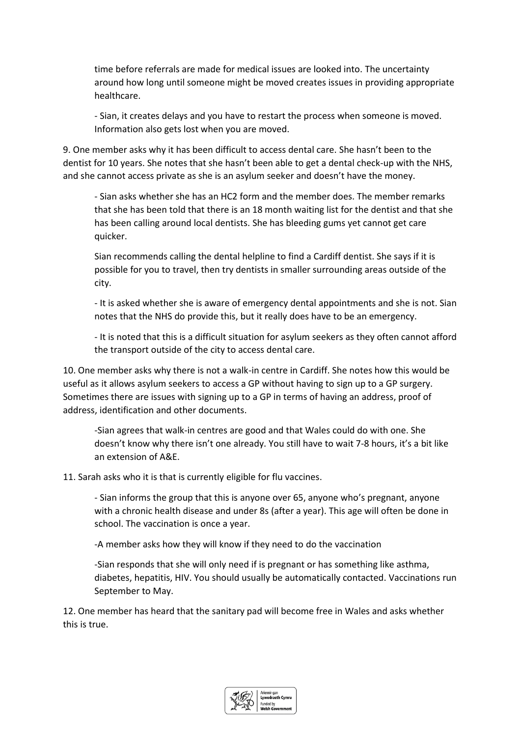time before referrals are made for medical issues are looked into. The uncertainty around how long until someone might be moved creates issues in providing appropriate healthcare.

- Sian, it creates delays and you have to restart the process when someone is moved. Information also gets lost when you are moved.

9. One member asks why it has been difficult to access dental care. She hasn't been to the dentist for 10 years. She notes that she hasn't been able to get a dental check-up with the NHS, and she cannot access private as she is an asylum seeker and doesn't have the money.

- Sian asks whether she has an HC2 form and the member does. The member remarks that she has been told that there is an 18 month waiting list for the dentist and that she has been calling around local dentists. She has bleeding gums yet cannot get care quicker.

Sian recommends calling the dental helpline to find a Cardiff dentist. She says if it is possible for you to travel, then try dentists in smaller surrounding areas outside of the city.

- It is asked whether she is aware of emergency dental appointments and she is not. Sian notes that the NHS do provide this, but it really does have to be an emergency.

- It is noted that this is a difficult situation for asylum seekers as they often cannot afford the transport outside of the city to access dental care.

10. One member asks why there is not a walk-in centre in Cardiff. She notes how this would be useful as it allows asylum seekers to access a GP without having to sign up to a GP surgery. Sometimes there are issues with signing up to a GP in terms of having an address, proof of address, identification and other documents.

-Sian agrees that walk-in centres are good and that Wales could do with one. She doesn't know why there isn't one already. You still have to wait 7-8 hours, it's a bit like an extension of A&E.

11. Sarah asks who it is that is currently eligible for flu vaccines.

- Sian informs the group that this is anyone over 65, anyone who's pregnant, anyone with a chronic health disease and under 8s (after a year). This age will often be done in school. The vaccination is once a year.

-A member asks how they will know if they need to do the vaccination

-Sian responds that she will only need if is pregnant or has something like asthma, diabetes, hepatitis, HIV. You should usually be automatically contacted. Vaccinations run September to May.

12. One member has heard that the sanitary pad will become free in Wales and asks whether this is true.